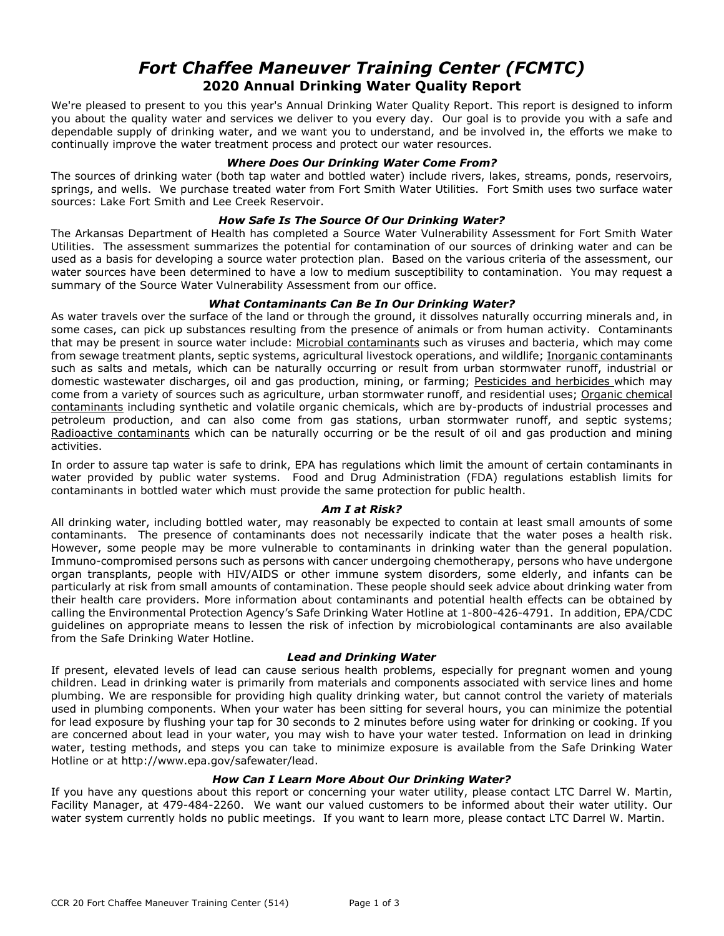# *Fort Chaffee Maneuver Training Center (FCMTC)*  **2020 Annual Drinking Water Quality Report**

We're pleased to present to you this year's Annual Drinking Water Quality Report. This report is designed to inform you about the quality water and services we deliver to you every day. Our goal is to provide you with a safe and dependable supply of drinking water, and we want you to understand, and be involved in, the efforts we make to continually improve the water treatment process and protect our water resources.

### *Where Does Our Drinking Water Come From?*

The sources of drinking water (both tap water and bottled water) include rivers, lakes, streams, ponds, reservoirs, springs, and wells. We purchase treated water from Fort Smith Water Utilities. Fort Smith uses two surface water sources: Lake Fort Smith and Lee Creek Reservoir.

### *How Safe Is The Source Of Our Drinking Water?*

The Arkansas Department of Health has completed a Source Water Vulnerability Assessment for Fort Smith Water Utilities. The assessment summarizes the potential for contamination of our sources of drinking water and can be used as a basis for developing a source water protection plan. Based on the various criteria of the assessment, our water sources have been determined to have a low to medium susceptibility to contamination. You may request a summary of the Source Water Vulnerability Assessment from our office.

## *What Contaminants Can Be In Our Drinking Water?*

As water travels over the surface of the land or through the ground, it dissolves naturally occurring minerals and, in some cases, can pick up substances resulting from the presence of animals or from human activity. Contaminants that may be present in source water include: Microbial contaminants such as viruses and bacteria, which may come from sewage treatment plants, septic systems, agricultural livestock operations, and wildlife; Inorganic contaminants such as salts and metals, which can be naturally occurring or result from urban stormwater runoff, industrial or domestic wastewater discharges, oil and gas production, mining, or farming; Pesticides and herbicides which may come from a variety of sources such as agriculture, urban stormwater runoff, and residential uses; Organic chemical contaminants including synthetic and volatile organic chemicals, which are by-products of industrial processes and petroleum production, and can also come from gas stations, urban stormwater runoff, and septic systems; Radioactive contaminants which can be naturally occurring or be the result of oil and gas production and mining activities.

In order to assure tap water is safe to drink, EPA has regulations which limit the amount of certain contaminants in water provided by public water systems. Food and Drug Administration (FDA) regulations establish limits for contaminants in bottled water which must provide the same protection for public health.

#### *Am I at Risk?*

All drinking water, including bottled water, may reasonably be expected to contain at least small amounts of some contaminants. The presence of contaminants does not necessarily indicate that the water poses a health risk. However, some people may be more vulnerable to contaminants in drinking water than the general population. Immuno-compromised persons such as persons with cancer undergoing chemotherapy, persons who have undergone organ transplants, people with HIV/AIDS or other immune system disorders, some elderly, and infants can be particularly at risk from small amounts of contamination. These people should seek advice about drinking water from their health care providers. More information about contaminants and potential health effects can be obtained by calling the Environmental Protection Agency's Safe Drinking Water Hotline at 1-800-426-4791. In addition, EPA/CDC guidelines on appropriate means to lessen the risk of infection by microbiological contaminants are also available from the Safe Drinking Water Hotline.

#### *Lead and Drinking Water*

If present, elevated levels of lead can cause serious health problems, especially for pregnant women and young children. Lead in drinking water is primarily from materials and components associated with service lines and home plumbing. We are responsible for providing high quality drinking water, but cannot control the variety of materials used in plumbing components. When your water has been sitting for several hours, you can minimize the potential for lead exposure by flushing your tap for 30 seconds to 2 minutes before using water for drinking or cooking. If you are concerned about lead in your water, you may wish to have your water tested. Information on lead in drinking water, testing methods, and steps you can take to minimize exposure is available from the Safe Drinking Water Hotline or at http://www.epa.gov/safewater/lead.

#### *How Can I Learn More About Our Drinking Water?*

If you have any questions about this report or concerning your water utility, please contact LTC Darrel W. Martin, Facility Manager, at 479-484-2260. We want our valued customers to be informed about their water utility. Our water system currently holds no public meetings. If you want to learn more, please contact LTC Darrel W. Martin.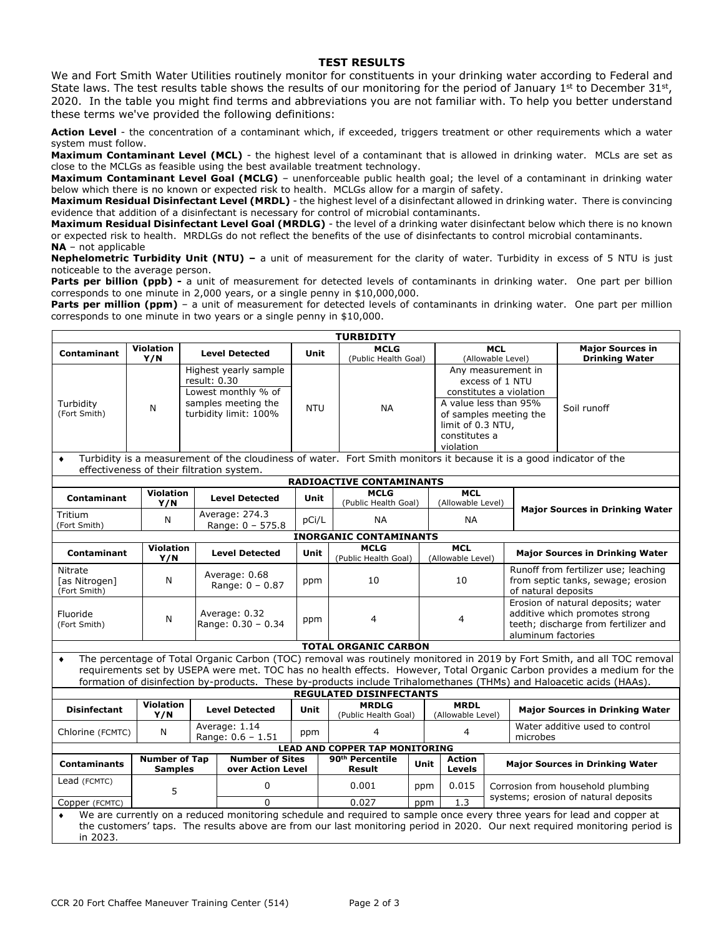#### **TEST RESULTS**

We and Fort Smith Water Utilities routinely monitor for constituents in your drinking water according to Federal and State laws. The test results table shows the results of our monitoring for the period of January 1st to December  $31st$ , 2020. In the table you might find terms and abbreviations you are not familiar with. To help you better understand these terms we've provided the following definitions:

**Action Level** - the concentration of a contaminant which, if exceeded, triggers treatment or other requirements which a water system must follow.

**Maximum Contaminant Level (MCL)** - the highest level of a contaminant that is allowed in drinking water. MCLs are set as close to the MCLGs as feasible using the best available treatment technology.

**Maximum Contaminant Level Goal (MCLG)** – unenforceable public health goal; the level of a contaminant in drinking water below which there is no known or expected risk to health. MCLGs allow for a margin of safety.

**Maximum Residual Disinfectant Level (MRDL)** - the highest level of a disinfectant allowed in drinking water. There is convincing evidence that addition of a disinfectant is necessary for control of microbial contaminants.

**Maximum Residual Disinfectant Level Goal (MRDLG)** - the level of a drinking water disinfectant below which there is no known or expected risk to health. MRDLGs do not reflect the benefits of the use of disinfectants to control microbial contaminants. **NA** – not applicable

**Nephelometric Turbidity Unit (NTU) –** a unit of measurement for the clarity of water. Turbidity in excess of 5 NTU is just noticeable to the average person.

Parts per billion (ppb) - a unit of measurement for detected levels of contaminants in drinking water. One part per billion corresponds to one minute in 2,000 years, or a single penny in \$10,000,000.

Parts per million (ppm) - a unit of measurement for detected levels of contaminants in drinking water. One part per million corresponds to one minute in two years or a single penny in \$10,000.

| <b>TURBIDITY</b>                                                                                                                                                                                                                                                                                                                                                                                                         |                                        |                                             |                                                                                                              |      |             |                                       |      |                   |                                                                                                                                                                        |                                                                                                                                    |                                                                                                   |                                                                           |  |
|--------------------------------------------------------------------------------------------------------------------------------------------------------------------------------------------------------------------------------------------------------------------------------------------------------------------------------------------------------------------------------------------------------------------------|----------------------------------------|---------------------------------------------|--------------------------------------------------------------------------------------------------------------|------|-------------|---------------------------------------|------|-------------------|------------------------------------------------------------------------------------------------------------------------------------------------------------------------|------------------------------------------------------------------------------------------------------------------------------------|---------------------------------------------------------------------------------------------------|---------------------------------------------------------------------------|--|
| <b>Contaminant</b>                                                                                                                                                                                                                                                                                                                                                                                                       | <b>Violation</b><br>Y/N                |                                             | <b>Level Detected</b>                                                                                        |      | Unit        | <b>MCLG</b><br>(Public Health Goal)   |      |                   |                                                                                                                                                                        | <b>MCL</b><br>(Allowable Level)                                                                                                    |                                                                                                   | <b>Maior Sources in</b><br><b>Drinking Water</b>                          |  |
| Turbidity<br>(Fort Smith)                                                                                                                                                                                                                                                                                                                                                                                                | N                                      |                                             | Highest yearly sample<br>result: 0.30<br>Lowest monthly % of<br>samples meeting the<br>turbidity limit: 100% |      | <b>NTU</b>  | <b>NA</b>                             |      |                   | Any measurement in<br>excess of 1 NTU<br>constitutes a violation<br>A value less than 95%<br>of samples meeting the<br>limit of 0.3 NTU,<br>constitutes a<br>violation |                                                                                                                                    |                                                                                                   | Soil runoff                                                               |  |
| Turbidity is a measurement of the cloudiness of water. Fort Smith monitors it because it is a good indicator of the<br>٠<br>effectiveness of their filtration system.                                                                                                                                                                                                                                                    |                                        |                                             |                                                                                                              |      |             |                                       |      |                   |                                                                                                                                                                        |                                                                                                                                    |                                                                                                   |                                                                           |  |
| <b>RADIOACTIVE CONTAMINANTS</b>                                                                                                                                                                                                                                                                                                                                                                                          |                                        |                                             |                                                                                                              |      |             |                                       |      |                   |                                                                                                                                                                        |                                                                                                                                    |                                                                                                   |                                                                           |  |
| <b>Contaminant</b>                                                                                                                                                                                                                                                                                                                                                                                                       | <b>Violation</b>                       |                                             | <b>Level Detected</b>                                                                                        |      | Unit        | <b>MCLG</b>                           |      |                   | <b>MCL</b>                                                                                                                                                             |                                                                                                                                    |                                                                                                   |                                                                           |  |
| Tritium                                                                                                                                                                                                                                                                                                                                                                                                                  | Y/N                                    |                                             | Average: 274.3                                                                                               |      |             | (Public Health Goal)                  |      |                   | (Allowable Level)                                                                                                                                                      |                                                                                                                                    | <b>Major Sources in Drinking Water</b>                                                            |                                                                           |  |
| (Fort Smith)                                                                                                                                                                                                                                                                                                                                                                                                             | N                                      |                                             | Range: $0 - 575.8$                                                                                           |      | pCi/L       | <b>NA</b>                             |      |                   | <b>NA</b>                                                                                                                                                              |                                                                                                                                    |                                                                                                   |                                                                           |  |
|                                                                                                                                                                                                                                                                                                                                                                                                                          |                                        |                                             |                                                                                                              |      |             | <b>INORGANIC CONTAMINANTS</b>         |      |                   |                                                                                                                                                                        |                                                                                                                                    |                                                                                                   |                                                                           |  |
| Contaminant                                                                                                                                                                                                                                                                                                                                                                                                              | <b>Violation</b><br>Y/N                |                                             | <b>Level Detected</b>                                                                                        | Unit |             | <b>MCLG</b><br>(Public Health Goal)   |      |                   | <b>MCL</b><br>(Allowable Level)                                                                                                                                        |                                                                                                                                    | <b>Major Sources in Drinking Water</b>                                                            |                                                                           |  |
| Nitrate<br>[as Nitrogen]<br>(Fort Smith)                                                                                                                                                                                                                                                                                                                                                                                 | N                                      |                                             | Average: 0.68<br>Range: $0 - 0.87$                                                                           |      | ppm         | 10                                    |      |                   | 10                                                                                                                                                                     |                                                                                                                                    | Runoff from fertilizer use; leaching<br>from septic tanks, sewage; erosion<br>of natural deposits |                                                                           |  |
| Fluoride<br>(Fort Smith)                                                                                                                                                                                                                                                                                                                                                                                                 | N                                      | Average: 0.32<br>Range: 0.30 - 0.34         |                                                                                                              | ppm  |             | 4                                     |      | 4                 |                                                                                                                                                                        | Erosion of natural deposits; water<br>additive which promotes strong<br>teeth; discharge from fertilizer and<br>aluminum factories |                                                                                                   |                                                                           |  |
|                                                                                                                                                                                                                                                                                                                                                                                                                          |                                        |                                             |                                                                                                              |      |             | <b>TOTAL ORGANIC CARBON</b>           |      |                   |                                                                                                                                                                        |                                                                                                                                    |                                                                                                   |                                                                           |  |
| The percentage of Total Organic Carbon (TOC) removal was routinely monitored in 2019 by Fort Smith, and all TOC removal<br>$\bullet$<br>requirements set by USEPA were met. TOC has no health effects. However, Total Organic Carbon provides a medium for the<br>formation of disinfection by-products. These by-products include Trihalomethanes (THMs) and Haloacetic acids (HAAs).<br><b>REGULATED DISINFECTANTS</b> |                                        |                                             |                                                                                                              |      |             |                                       |      |                   |                                                                                                                                                                        |                                                                                                                                    |                                                                                                   |                                                                           |  |
|                                                                                                                                                                                                                                                                                                                                                                                                                          | <b>Violation</b>                       |                                             |                                                                                                              |      |             | <b>MRDLG</b>                          |      |                   | <b>MRDL</b>                                                                                                                                                            |                                                                                                                                    |                                                                                                   |                                                                           |  |
| <b>Disinfectant</b>                                                                                                                                                                                                                                                                                                                                                                                                      | Y/N                                    |                                             | <b>Level Detected</b>                                                                                        |      | <b>Unit</b> | (Public Health Goal)                  |      | (Allowable Level) |                                                                                                                                                                        |                                                                                                                                    | <b>Major Sources in Drinking Water</b>                                                            |                                                                           |  |
| Chlorine (FCMTC)                                                                                                                                                                                                                                                                                                                                                                                                         | N                                      |                                             | Average: 1.14<br>Range: $0.6 - 1.51$                                                                         |      | ppm         | 4                                     |      | 4                 |                                                                                                                                                                        |                                                                                                                                    | Water additive used to control<br>microbes                                                        |                                                                           |  |
| <b>LEAD AND COPPER TAP MONITORING</b>                                                                                                                                                                                                                                                                                                                                                                                    |                                        |                                             |                                                                                                              |      |             |                                       |      |                   |                                                                                                                                                                        |                                                                                                                                    |                                                                                                   |                                                                           |  |
| <b>Contaminants</b>                                                                                                                                                                                                                                                                                                                                                                                                      | <b>Number of Tap</b><br><b>Samples</b> | <b>Number of Sites</b><br>over Action Level |                                                                                                              |      |             | 90 <sup>th</sup> Percentile<br>Result | Unit |                   | <b>Action</b><br>Levels                                                                                                                                                |                                                                                                                                    |                                                                                                   | <b>Major Sources in Drinking Water</b>                                    |  |
| Lead (FCMTC)                                                                                                                                                                                                                                                                                                                                                                                                             | 5                                      |                                             | 0                                                                                                            |      |             | 0.001                                 | ppm  |                   | 0.015                                                                                                                                                                  |                                                                                                                                    |                                                                                                   | Corrosion from household plumbing<br>systems; erosion of natural deposits |  |
| Copper (FCMTC)                                                                                                                                                                                                                                                                                                                                                                                                           |                                        |                                             | $\Omega$                                                                                                     |      |             | 0.027<br>ppm                          |      |                   | 1.3                                                                                                                                                                    |                                                                                                                                    |                                                                                                   |                                                                           |  |
| We are currently on a reduced monitoring schedule and required to sample once every three years for lead and copper at<br>۰<br>the customers' taps. The results above are from our last monitoring period in 2020. Our next required monitoring period is<br>in 2023.                                                                                                                                                    |                                        |                                             |                                                                                                              |      |             |                                       |      |                   |                                                                                                                                                                        |                                                                                                                                    |                                                                                                   |                                                                           |  |